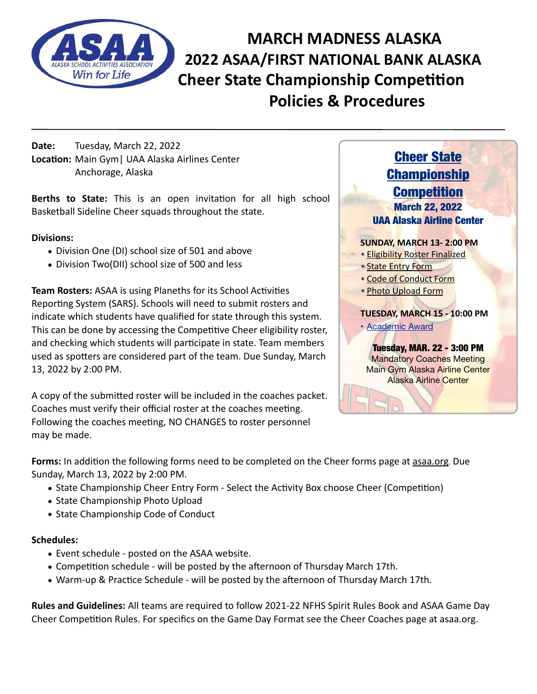

**MARCH MADNESS ALASKA 2022 ASAA/FIRST NATIONAL BANK ALASKA Cheer State Championship Competition Policies & Procedures**

**Date:** Tuesday, March 22, 2022 **Location:** Main Gym| UAA Alaska Airlines Center Anchorage, Alaska

**Berths to State:** This is an open invitation for all high school Basketball Sideline Cheer squads throughout the state.

## **Divisions:**

- Division One (DI) school size of 501 and above
- Division Two(DII) school size of 500 and less

**Team Rosters:** ASAA is using Planeths for its School Activities Reporting System (SARS). Schools will need to submit rosters and indicate which students have qualified for state through this system. This can be done by accessing the Competitive Cheer eligibility roster, and checking which students will participate in state. Team members used as spotters are considered part of the team. Due Sunday, March 13, 2022 by 2:00 PM.

A copy of the submitted roster will be included in the coaches packet. Coaches must verify their official roster at the coaches meeting. Following the coaches meeting, NO CHANGES to roster personnel may be made.



**Forms:** In addition the following forms need to be completed on the Cheer forms page at [asaa.org.](http://asaa.org) Due Sunday, March 13, 2022 by 2:00 PM.

- State Championship Cheer Entry Form Select the Activity Box choose Cheer (Competition)
- State Championship Photo Upload
- State Championship Code of Conduct

### **Schedules:**

- Event schedule posted on the ASAA website.
- Competition schedule will be posted by the afternoon of Thursday March 17th.
- Warm-up & Practice Schedule will be posted by the afternoon of Thursday March 17th.

**Rules and Guidelines:** All teams are required to follow 2021-22 NFHS Spirit Rules Book and ASAA Game Day Cheer Competition Rules. For specifics on the Game Day Format see the Cheer Coaches page at asaa.org.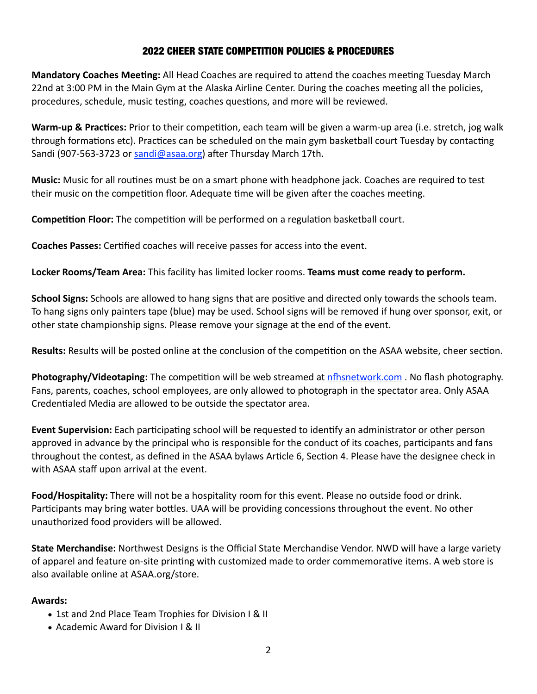# 2022 CHEER STATE COMPETITION POLICIES & PROCEDURES

**Mandatory Coaches Meeting:** All Head Coaches are required to attend the coaches meeting Tuesday March 22nd at 3:00 PM in the Main Gym at the Alaska Airline Center. During the coaches meeting all the policies, procedures, schedule, music testing, coaches questions, and more will be reviewed.

**Warm-up & Practices:** Prior to their competition, each team will be given a warm-up area (i.e. stretch, jog walk through formations etc). Practices can be scheduled on the main gym basketball court Tuesday by contacting Sandi (907-563-3723 or [sandi@asaa.org\)](mailto:sandi@asaa.org) after Thursday March 17th.

**Music:** Music for all routines must be on a smart phone with headphone jack. Coaches are required to test their music on the competition floor. Adequate time will be given after the coaches meeting.

**Competition Floor:** The competition will be performed on a regulation basketball court.

**Coaches Passes:** Certified coaches will receive passes for access into the event.

**Locker Rooms/Team Area:** This facility has limited locker rooms. **Teams must come ready to perform.**

**School Signs:** Schools are allowed to hang signs that are positive and directed only towards the schools team. To hang signs only painters tape (blue) may be used. School signs will be removed if hung over sponsor, exit, or other state championship signs. Please remove your signage at the end of the event.

**Results:** Results will be posted online at the conclusion of the competition on the ASAA website, cheer section.

**Photography/Videotaping:** The competition will be web streamed at [nfhsnetwork.com](http://nfhsnetwork.com) . No flash photography. Fans, parents, coaches, school employees, are only allowed to photograph in the spectator area. Only ASAA Credentialed Media are allowed to be outside the spectator area.

**Event Supervision:** Each participating school will be requested to identify an administrator or other person approved in advance by the principal who is responsible for the conduct of its coaches, participants and fans throughout the contest, as defined in the ASAA bylaws Article 6, Section 4. Please have the designee check in with ASAA staff upon arrival at the event.

**Food/Hospitality:** There will not be a hospitality room for this event. Please no outside food or drink. Participants may bring water bottles. UAA will be providing concessions throughout the event. No other unauthorized food providers will be allowed.

**State Merchandise:** Northwest Designs is the Official State Merchandise Vendor. NWD will have a large variety of apparel and feature on-site printing with customized made to order commemorative items. A web store is also available online at ASAA.org/store.

### **Awards:**

- 1st and 2nd Place Team Trophies for Division I & II
- Academic Award for Division I & II